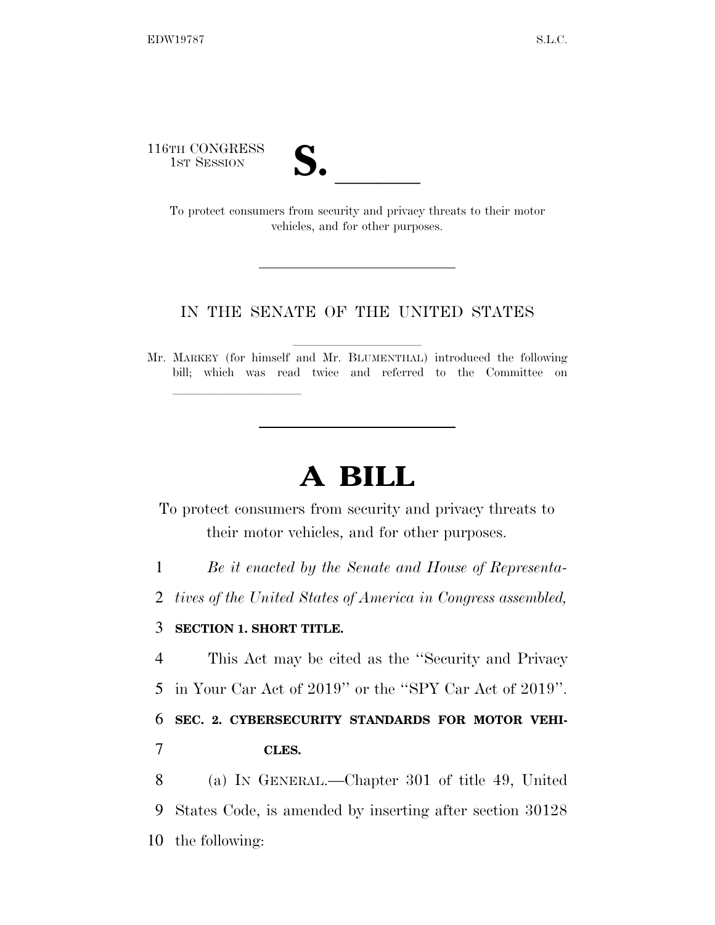116TH CONGRESS

| $\overline{\phantom{a}}$ |  |
|--------------------------|--|
|                          |  |

TH CONGRESS<br>1st SESSION<br>To protect consumers from security and privacy threats to their motor vehicles, and for other purposes.

## IN THE SENATE OF THE UNITED STATES

Mr. MARKEY (for himself and Mr. BLUMENTHAL) introduced the following bill; which was read twice and referred to the Committee on

## **A BILL**

To protect consumers from security and privacy threats to their motor vehicles, and for other purposes.

1 *Be it enacted by the Senate and House of Representa-*

2 *tives of the United States of America in Congress assembled,* 

## 3 **SECTION 1. SHORT TITLE.**

lle and a second control of the second control of the second control of the second control of the second control of the second control of the second control of the second control of the second control of the second control

4 This Act may be cited as the ''Security and Privacy

5 in Your Car Act of 2019'' or the ''SPY Car Act of 2019''.

6 **SEC. 2. CYBERSECURITY STANDARDS FOR MOTOR VEHI-**7 **CLES.** 

8 (a) IN GENERAL.—Chapter 301 of title 49, United 9 States Code, is amended by inserting after section 30128 10 the following: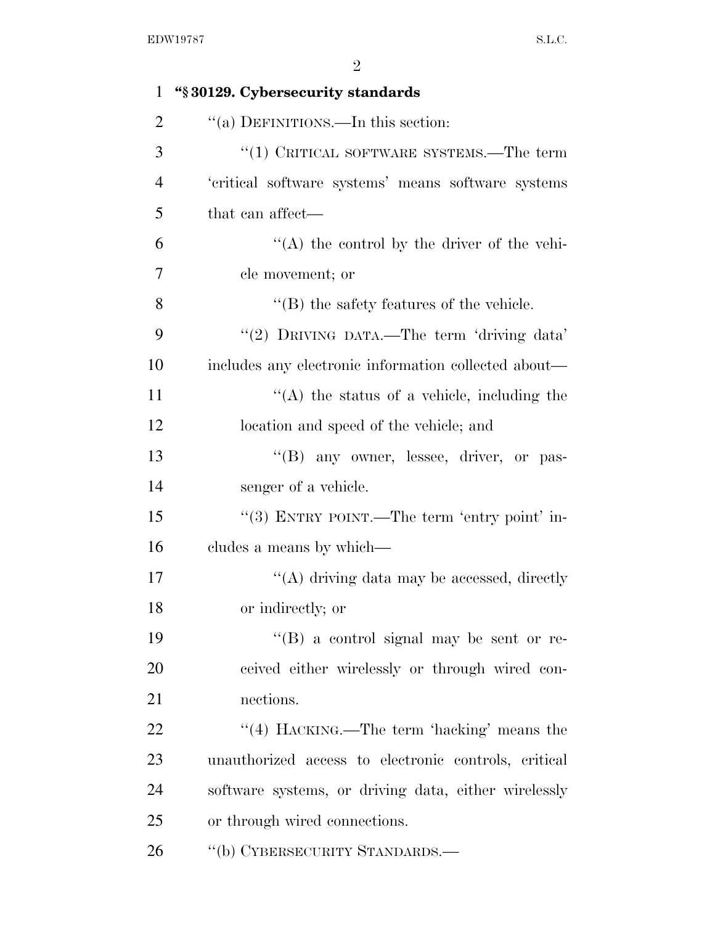| $\mathbf{1}$   | "§30129. Cybersecurity standards                     |
|----------------|------------------------------------------------------|
| $\overline{2}$ | "(a) DEFINITIONS.—In this section:                   |
| 3              | $\cdot$ (1) CRITICAL SOFTWARE SYSTEMS.—The term      |
| $\overline{4}$ | 'critical software systems' means software systems   |
| 5              | that can affect—                                     |
| 6              | $\lq\lq$ the control by the driver of the vehi-      |
| 7              | cle movement; or                                     |
| 8              | $\lq\lq$ the safety features of the vehicle.         |
| 9              | "(2) DRIVING DATA.—The term 'driving data'           |
| 10             | includes any electronic information collected about— |
| 11             | $\lq\lq$ the status of a vehicle, including the      |
| 12             | location and speed of the vehicle; and               |
| 13             | "(B) any owner, lessee, driver, or pas-              |
| 14             | senger of a vehicle.                                 |
| 15             | "(3) ENTRY POINT.—The term 'entry point' in-         |
| 16             | cludes a means by which—                             |
| 17             | "(A) driving data may be accessed, directly          |
| 18             | or indirectly; or                                    |
| 19             | "(B) a control signal may be sent or re-             |
| 20             | ceived either wirelessly or through wired con-       |
| 21             | nections.                                            |
| 22             | "(4) HACKING.—The term 'hacking' means the           |
| 23             | unauthorized access to electronic controls, critical |
| 24             | software systems, or driving data, either wirelessly |
| 25             | or through wired connections.                        |
| 26             | "(b) CYBERSECURITY STANDARDS.-                       |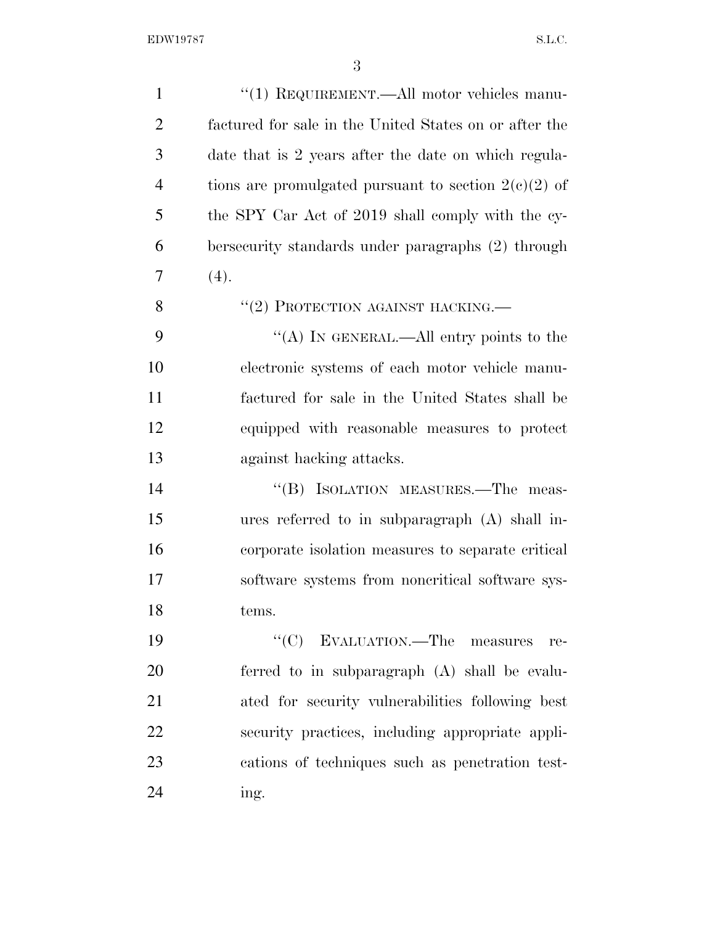| $\mathbf{1}$   | "(1) REQUIREMENT.—All motor vehicles manu-             |
|----------------|--------------------------------------------------------|
| $\overline{2}$ | factured for sale in the United States on or after the |
| 3              | date that is 2 years after the date on which regula-   |
| $\overline{4}$ | tions are promulgated pursuant to section $2(c)(2)$ of |
| 5              | the SPY Car Act of 2019 shall comply with the cy-      |
| 6              | bersecurity standards under paragraphs (2) through     |
| 7              | (4).                                                   |
| 8              | "(2) PROTECTION AGAINST HACKING.—                      |
| 9              | "(A) IN GENERAL.—All entry points to the               |
| 10             | electronic systems of each motor vehicle manu-         |
| 11             | factured for sale in the United States shall be        |
| 12             | equipped with reasonable measures to protect           |
| 13             | against hacking attacks.                               |
| 14             | "(B) ISOLATION MEASURES.—The meas-                     |
| 15             | ures referred to in subparagraph (A) shall in-         |
| 16             | corporate isolation measures to separate critical      |
| 17             | software systems from noncritical software sys-        |
| 18             | tems.                                                  |
| 19             | "(C) EVALUATION.—The measures<br>re-                   |
| 20             | ferred to in subparagraph (A) shall be evalu-          |
| 21             | ated for security vulnerabilities following best       |
| 22             | security practices, including appropriate appli-       |
| 23             | cations of techniques such as penetration test-        |
| 24             | ing.                                                   |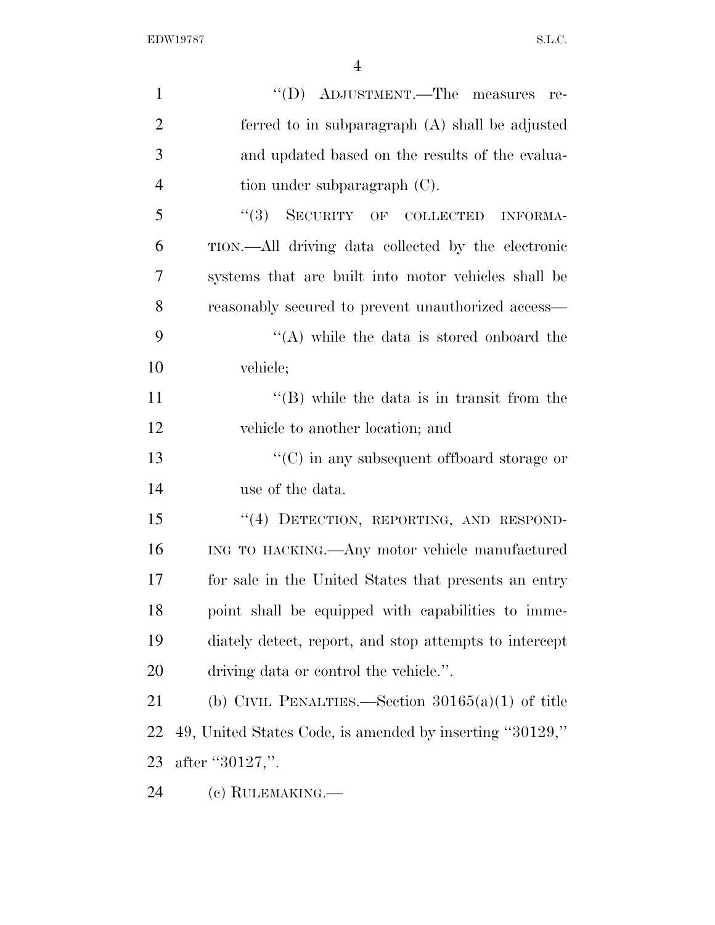| $\mathbf{1}$   | "(D) ADJUSTMENT.—The measures<br>re-                     |
|----------------|----------------------------------------------------------|
| $\overline{2}$ | ferred to in subparagraph $(A)$ shall be adjusted        |
| 3              | and updated based on the results of the evalua-          |
| $\overline{4}$ | tion under subparagraph $(C)$ .                          |
| 5              | "(3) SECURITY OF COLLECTED INFORMA-                      |
| 6              | TION.—All driving data collected by the electronic       |
| 7              | systems that are built into motor vehicles shall be      |
| 8              | reasonably secured to prevent unauthorized access—       |
| 9              | "(A) while the data is stored onboard the                |
| 10             | vehicle;                                                 |
| 11             | $\lq\lq$ (B) while the data is in transit from the       |
| 12             | vehicle to another location; and                         |
| 13             | $\cdot$ (C) in any subsequent offboard storage or        |
| 14             | use of the data.                                         |
| 15             | "(4) DETECTION, REPORTING, AND RESPOND-                  |
| 16             | ING TO HACKING.—Any motor vehicle manufactured           |
| 17             | for sale in the United States that presents an entry     |
| 18             | point shall be equipped with capabilities to imme-       |
| 19             | diately detect, report, and stop attempts to intercept   |
| 20             | driving data or control the vehicle.".                   |
| 21             | (b) CIVIL PENALTIES.—Section $30165(a)(1)$ of title      |
| 22             | 49, United States Code, is amended by inserting "30129," |
| 23             | after "30127,".                                          |
| 24             | (c) RULEMAKING.—                                         |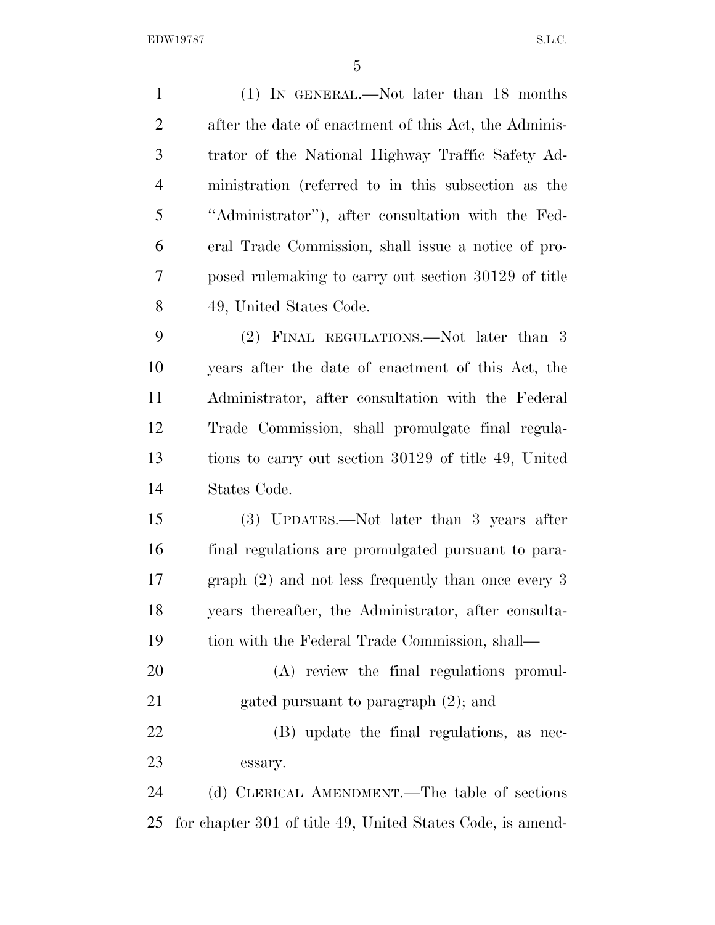EDW19787 S.L.C.

| $\mathbf{1}$   | (1) IN GENERAL.—Not later than 18 months                   |
|----------------|------------------------------------------------------------|
| $\overline{2}$ | after the date of enactment of this Act, the Adminis-      |
| 3              | trator of the National Highway Traffic Safety Ad-          |
| $\overline{4}$ | ministration (referred to in this subsection as the        |
| 5              | "Administrator"), after consultation with the Fed-         |
| 6              | eral Trade Commission, shall issue a notice of pro-        |
| 7              | posed rulemaking to carry out section 30129 of title       |
| 8              | 49, United States Code.                                    |
| 9              | (2) FINAL REGULATIONS.—Not later than 3                    |
| 10             | years after the date of enactment of this Act, the         |
| 11             | Administrator, after consultation with the Federal         |
| 12             | Trade Commission, shall promulgate final regula-           |
| 13             | tions to carry out section 30129 of title 49, United       |
| 14             | States Code.                                               |
| 15             | (3) UPDATES.—Not later than 3 years after                  |
| 16             | final regulations are promulgated pursuant to para-        |
| 17             | graph $(2)$ and not less frequently than once every 3      |
| 18             | years thereafter, the Administrator, after consulta-       |
| 19             | tion with the Federal Trade Commission, shall—             |
| 20             | (A) review the final regulations promul-                   |
| 21             | gated pursuant to paragraph $(2)$ ; and                    |
| 22             | (B) update the final regulations, as nec-                  |
| 23             | essary.                                                    |
| 24             | (d) CLERICAL AMENDMENT.—The table of sections              |
| 25             | for chapter 301 of title 49, United States Code, is amend- |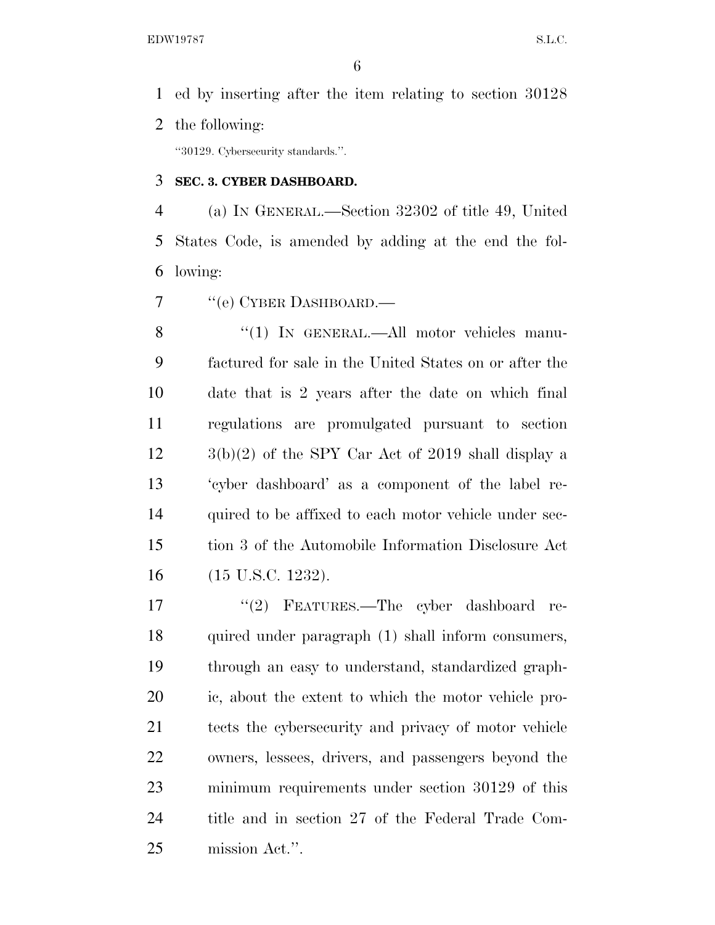ed by inserting after the item relating to section 30128 the following:

''30129. Cybersecurity standards.''.

## **SEC. 3. CYBER DASHBOARD.**

 (a) IN GENERAL.—Section 32302 of title 49, United States Code, is amended by adding at the end the fol-lowing:

7 "(e) CYBER DASHBOARD.—

8 "(1) IN GENERAL.—All motor vehicles manu- factured for sale in the United States on or after the date that is 2 years after the date on which final regulations are promulgated pursuant to section  $12 \qquad \qquad 3(b)(2)$  of the SPY Car Act of 2019 shall display a 'cyber dashboard' as a component of the label re- quired to be affixed to each motor vehicle under sec- tion 3 of the Automobile Information Disclosure Act (15 U.S.C. 1232).

 ''(2) FEATURES.—The cyber dashboard re- quired under paragraph (1) shall inform consumers, through an easy to understand, standardized graph- ic, about the extent to which the motor vehicle pro- tects the cybersecurity and privacy of motor vehicle owners, lessees, drivers, and passengers beyond the minimum requirements under section 30129 of this title and in section 27 of the Federal Trade Com-mission Act.''.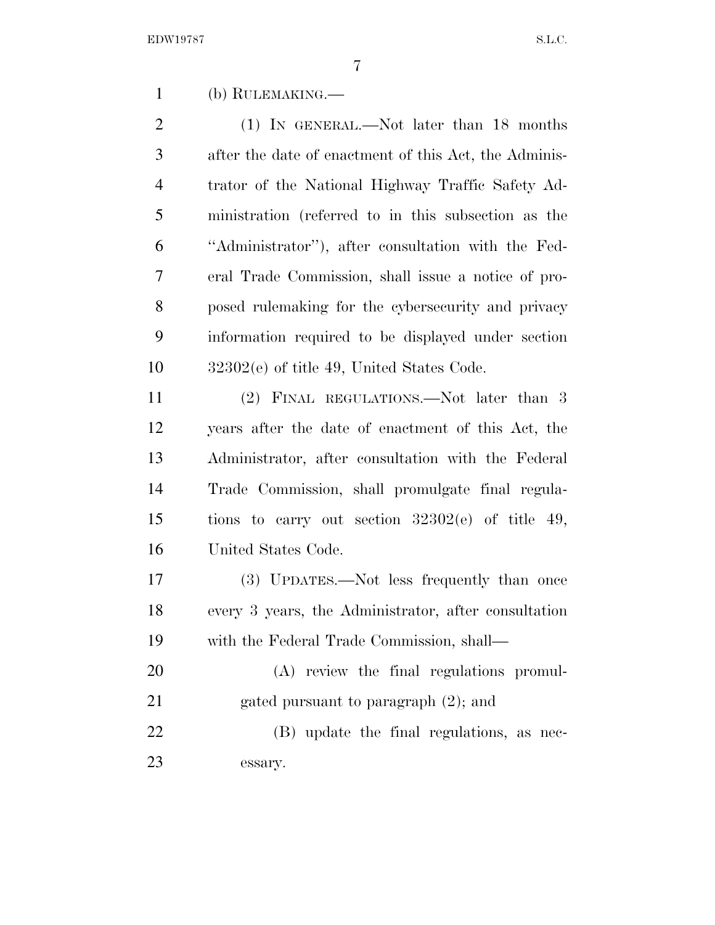(b) RULEMAKING.—

2 (1) IN GENERAL.—Not later than 18 months after the date of enactment of this Act, the Adminis- trator of the National Highway Traffic Safety Ad- ministration (referred to in this subsection as the ''Administrator''), after consultation with the Fed- eral Trade Commission, shall issue a notice of pro- posed rulemaking for the cybersecurity and privacy information required to be displayed under section 32302(e) of title 49, United States Code.

 (2) FINAL REGULATIONS.—Not later than 3 years after the date of enactment of this Act, the Administrator, after consultation with the Federal Trade Commission, shall promulgate final regula- tions to carry out section 32302(e) of title 49, United States Code.

 (3) UPDATES.—Not less frequently than once every 3 years, the Administrator, after consultation with the Federal Trade Commission, shall—

 (A) review the final regulations promul-21 gated pursuant to paragraph  $(2)$ ; and

 (B) update the final regulations, as nec-essary.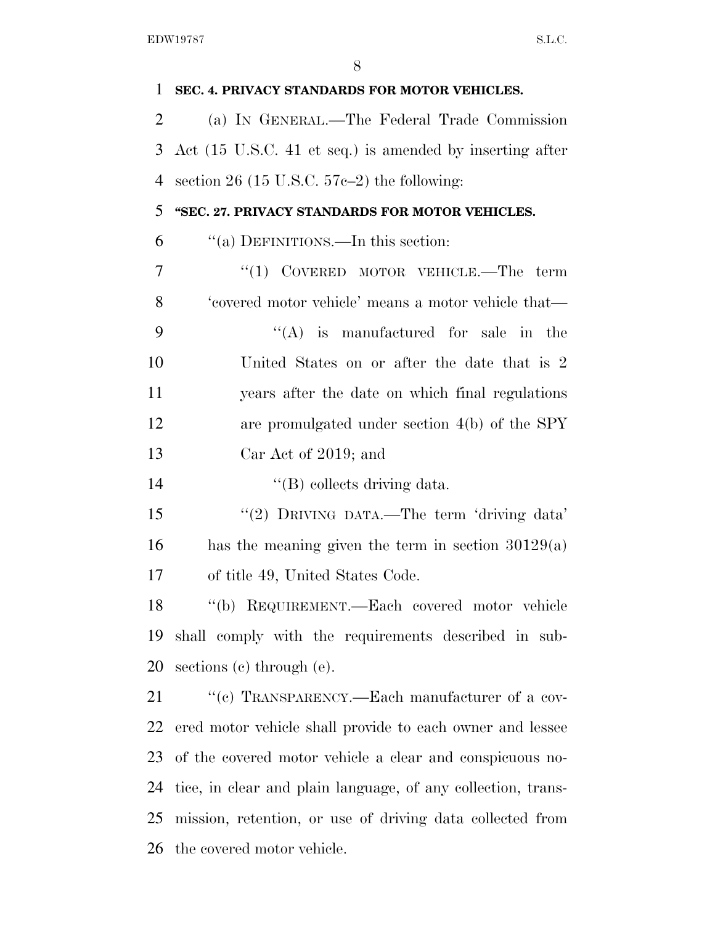| 1              | SEC. 4. PRIVACY STANDARDS FOR MOTOR VEHICLES.                |
|----------------|--------------------------------------------------------------|
| $\overline{2}$ | (a) IN GENERAL.—The Federal Trade Commission                 |
| 3              | Act (15 U.S.C. 41 et seq.) is amended by inserting after     |
| 4              | section 26 (15 U.S.C. $57c-2$ ) the following:               |
| 5              | "SEC. 27. PRIVACY STANDARDS FOR MOTOR VEHICLES.              |
| 6              | "(a) DEFINITIONS.—In this section:                           |
| 7              | "(1) COVERED MOTOR VEHICLE.—The term                         |
| 8              | 'covered motor vehicle' means a motor vehicle that—          |
| 9              | $\lq\lq$ is manufactured for sale in the                     |
| 10             | United States on or after the date that is 2                 |
| 11             | years after the date on which final regulations              |
| 12             | are promulgated under section $4(b)$ of the SPY              |
| 13             | Car Act of 2019; and                                         |
| 14             | "(B) collects driving data.                                  |
| 15             | "(2) DRIVING DATA.—The term 'driving data'                   |
| 16             | has the meaning given the term in section $30129(a)$         |
| 17             | of title 49, United States Code.                             |
| 18             | "(b) REQUIREMENT.—Each covered motor vehicle                 |
| 19             | shall comply with the requirements described in sub-         |
| 20             | sections $(e)$ through $(e)$ .                               |
| 21             | "(c) TRANSPARENCY.—Each manufacturer of a cov-               |
| 22             | ered motor vehicle shall provide to each owner and lessee    |
| 23             | of the covered motor vehicle a clear and conspicuous no-     |
| 24             | tice, in clear and plain language, of any collection, trans- |
| 25             | mission, retention, or use of driving data collected from    |
| 26             | the covered motor vehicle.                                   |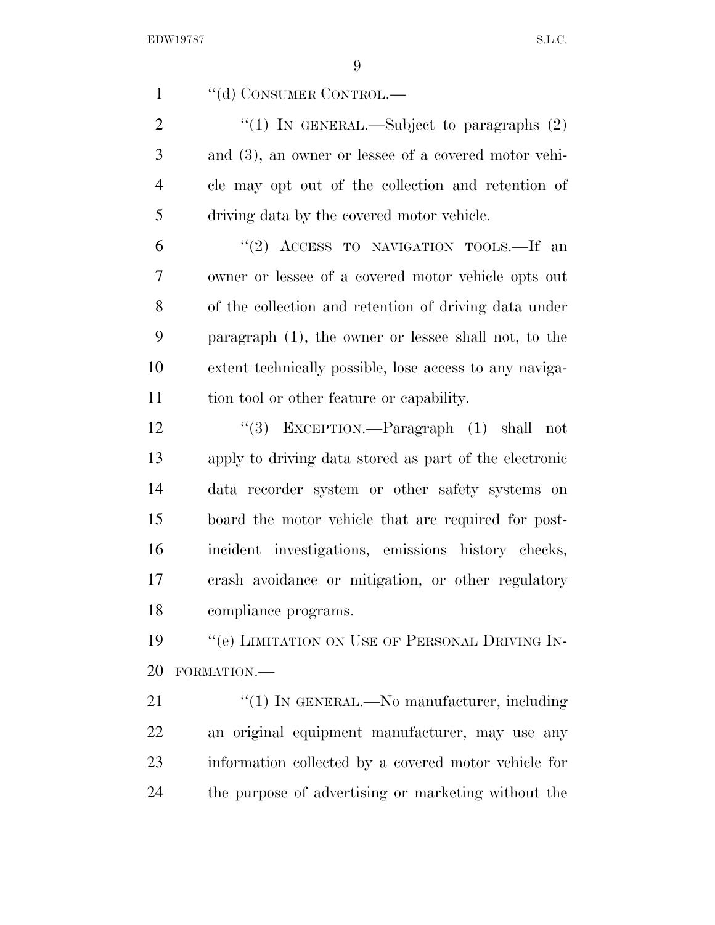EDW19787 S.L.C.

1 "(d) CONSUMER CONTROL.—

 $\text{``(1)}$  In GENERAL.—Subject to paragraphs  $(2)$  and (3), an owner or lessee of a covered motor vehi- cle may opt out of the collection and retention of driving data by the covered motor vehicle.

 "(2) ACCESS TO NAVIGATION TOOLS.—If an owner or lessee of a covered motor vehicle opts out of the collection and retention of driving data under paragraph (1), the owner or lessee shall not, to the extent technically possible, lose access to any naviga-tion tool or other feature or capability.

 ''(3) EXCEPTION.—Paragraph (1) shall not apply to driving data stored as part of the electronic data recorder system or other safety systems on board the motor vehicle that are required for post- incident investigations, emissions history checks, crash avoidance or mitigation, or other regulatory compliance programs.

19 "'(e) LIMITATION ON USE OF PERSONAL DRIVING IN-FORMATION.—

21 "(1) IN GENERAL.—No manufacturer, including an original equipment manufacturer, may use any information collected by a covered motor vehicle for the purpose of advertising or marketing without the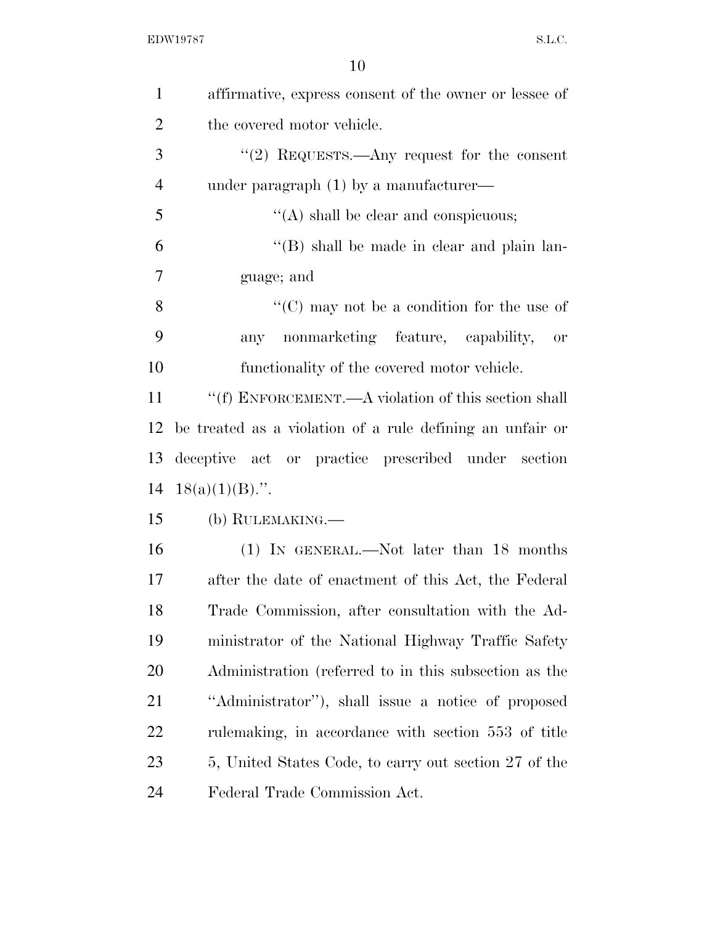| $\mathbf{1}$   | affirmative, express consent of the owner or lessee of    |
|----------------|-----------------------------------------------------------|
| $\overline{2}$ | the covered motor vehicle.                                |
| 3              | "(2) REQUESTS.—Any request for the consent                |
| $\overline{4}$ | under paragraph $(1)$ by a manufacture $-$                |
| 5              | $\lq\lq$ shall be clear and conspicuous;                  |
| 6              | $\lq\lq (B)$ shall be made in clear and plain lan-        |
| 7              | guage; and                                                |
| 8              | " $(C)$ may not be a condition for the use of             |
| 9              | any nonmarketing feature, capability, or                  |
| 10             | functionality of the covered motor vehicle.               |
| 11             | "(f) ENFORCEMENT.—A violation of this section shall       |
| 12             | be treated as a violation of a rule defining an unfair or |
| 13             | deceptive act or practice prescribed under section        |
| 14             | $18(a)(1)(B)$ .".                                         |
| 15             | (b) RULEMAKING.—                                          |
| 16             | (1) IN GENERAL.—Not later than 18 months                  |
| 17             | after the date of enactment of this Act, the Federal      |
| 18             | Trade Commission, after consultation with the Ad-         |
| 19             | ministrator of the National Highway Traffic Safety        |
| <b>20</b>      | Administration (referred to in this subsection as the     |
| 21             | "Administrator", shall issue a notice of proposed         |
| 22             | rulemaking, in accordance with section 553 of title       |
| 23             | 5, United States Code, to carry out section 27 of the     |
| 24             | Federal Trade Commission Act.                             |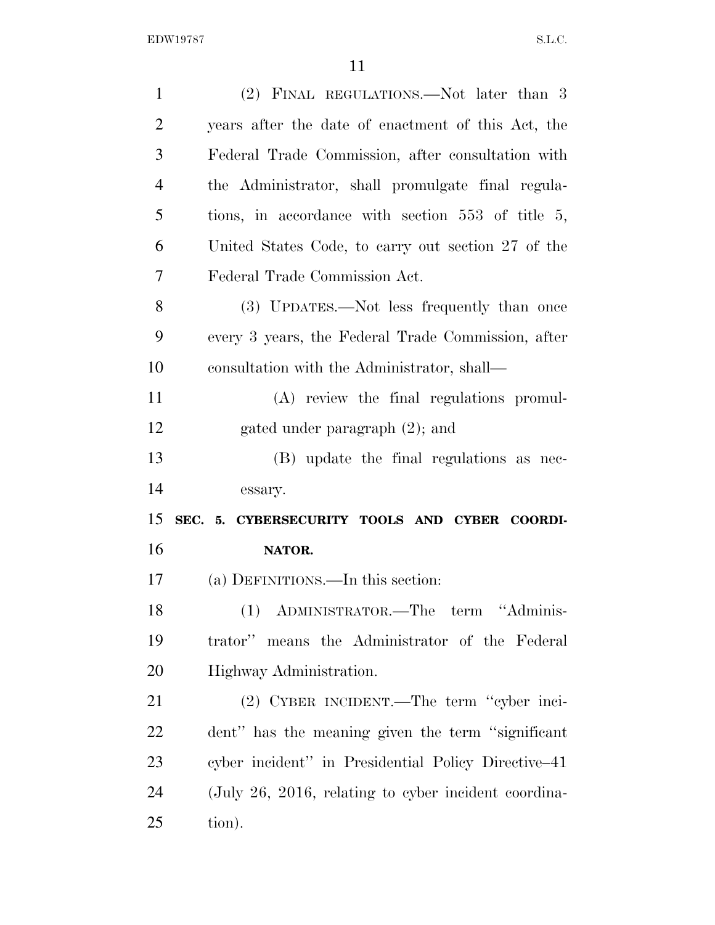| $\mathbf{1}$   | (2) FINAL REGULATIONS.—Not later than 3                 |
|----------------|---------------------------------------------------------|
| $\overline{2}$ | years after the date of enactment of this Act, the      |
| 3              | Federal Trade Commission, after consultation with       |
| $\overline{4}$ | the Administrator, shall promulgate final regula-       |
| 5              | tions, in accordance with section 553 of title 5,       |
| 6              | United States Code, to carry out section 27 of the      |
| 7              | Federal Trade Commission Act.                           |
| 8              | (3) UPDATES.—Not less frequently than once              |
| 9              | every 3 years, the Federal Trade Commission, after      |
| 10             | consultation with the Administrator, shall—             |
| 11             | (A) review the final regulations promul-                |
| 12             | gated under paragraph (2); and                          |
| 13             | (B) update the final regulations as nec-                |
| 14             | essary.                                                 |
| 15             | SEC. 5. CYBERSECURITY TOOLS AND CYBER COORDI-           |
| 16             | NATOR.                                                  |
| 17             | (a) DEFINITIONS.—In this section:                       |
| 18             | (1) ADMINISTRATOR.—The term "Adminis-                   |
| 19             | trator" means the Administrator of the Federal          |
| 20             | Highway Administration.                                 |
| 21             | (2) CYBER INCIDENT.—The term "cyber inci-               |
| 22             | dent" has the meaning given the term "significant"      |
| 23             | cyber incident" in Presidential Policy Directive–41     |
| 24             | $($ July 26, 2016, relating to cyber incident coordina- |
| 25             | tion).                                                  |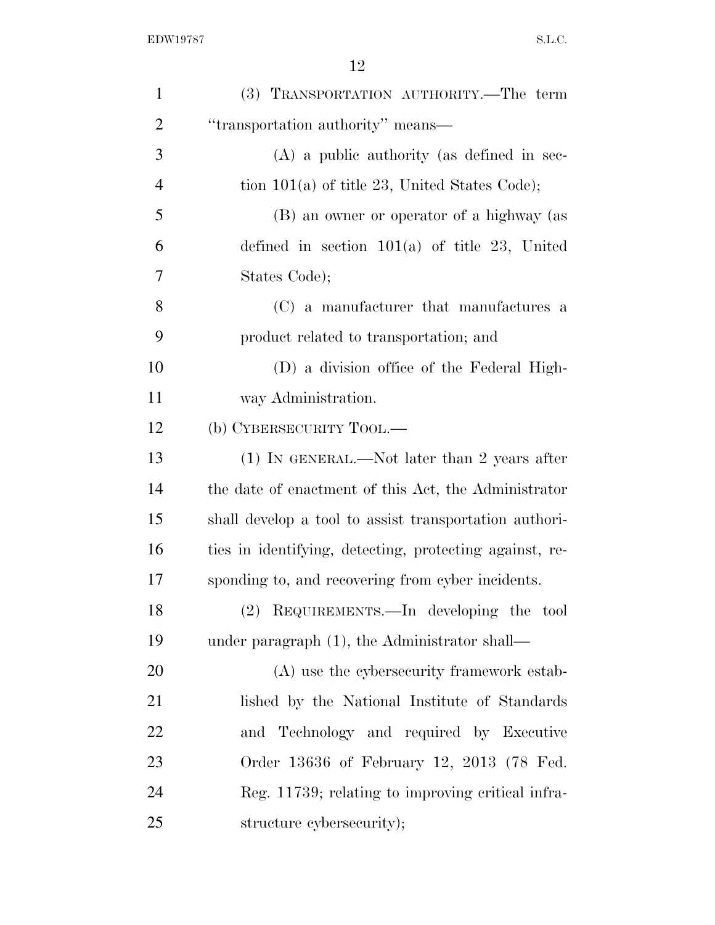| $\mathbf{1}$   | (3) TRANSPORTATION AUTHORITY.—The term                  |
|----------------|---------------------------------------------------------|
| $\overline{2}$ | "transportation authority" means—                       |
| 3              | $(A)$ a public authority (as defined in sec-            |
| 4              | tion $101(a)$ of title 23, United States Code);         |
| 5              | (B) an owner or operator of a highway (as               |
| 6              | defined in section $101(a)$ of title 23, United         |
| 7              | States Code);                                           |
| 8              | (C) a manufacturer that manufactures a                  |
| 9              | product related to transportation; and                  |
| 10             | (D) a division office of the Federal High-              |
| 11             | way Administration.                                     |
| 12             | (b) CYBERSECURITY TOOL.—                                |
| 13             | $(1)$ In GENERAL.—Not later than 2 years after          |
| 14             | the date of enactment of this Act, the Administrator    |
| 15             | shall develop a tool to assist transportation authori-  |
| 16             | ties in identifying, detecting, protecting against, re- |
| 17             | sponding to, and recovering from cyber incidents.       |
| 18             | (2) REQUIREMENTS.—In developing the tool                |
| 19             | under paragraph (1), the Administrator shall—           |
| 20             | (A) use the cybersecurity framework estab-              |
| 21             | lished by the National Institute of Standards           |
| 22             | and Technology and required by Executive                |
| 23             | Order 13636 of February 12, 2013 (78 Fed.               |
| 24             | Reg. 11739; relating to improving critical infra-       |
| 25             | structure cybersecurity);                               |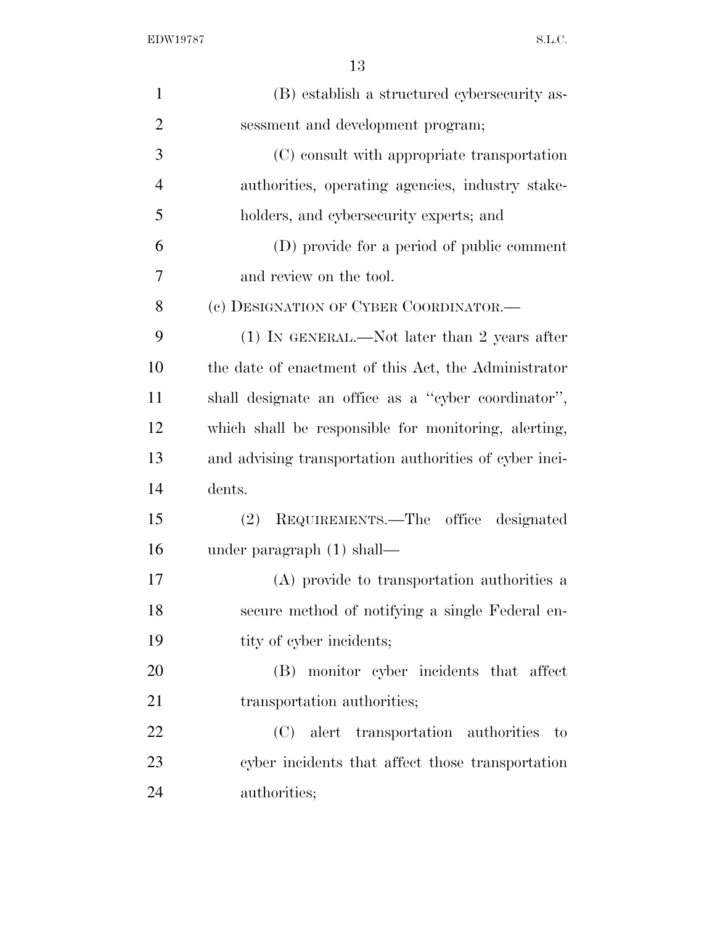EDW19787 S.L.C.

| $\mathbf{1}$   | (B) establish a structured cybersecurity as-           |
|----------------|--------------------------------------------------------|
| $\overline{2}$ | sessment and development program;                      |
| 3              | (C) consult with appropriate transportation            |
| $\overline{4}$ | authorities, operating agencies, industry stake-       |
| 5              | holders, and cybersecurity experts; and                |
| 6              | (D) provide for a period of public comment             |
| 7              | and review on the tool.                                |
| 8              | (c) DESIGNATION OF CYBER COORDINATOR.—                 |
| 9              | $(1)$ IN GENERAL.—Not later than 2 years after         |
| 10             | the date of enactment of this Act, the Administrator   |
| 11             | shall designate an office as a "cyber coordinator",    |
| 12             | which shall be responsible for monitoring, alerting,   |
| 13             | and advising transportation authorities of cyber inci- |
| 14             | dents.                                                 |
| 15             | REQUIREMENTS.—The office designated<br>(2)             |
| 16             | under paragraph $(1)$ shall—                           |
| 17             | (A) provide to transportation authorities a            |
| 18             | secure method of notifying a single Federal en-        |
| 19             | tity of cyber incidents;                               |
| 20             | (B) monitor cyber incidents that affect                |
| 21             | transportation authorities;                            |
| 22             | (C) alert transportation authorities to                |
| 23             | cyber incidents that affect those transportation       |
| 24             | authorities;                                           |